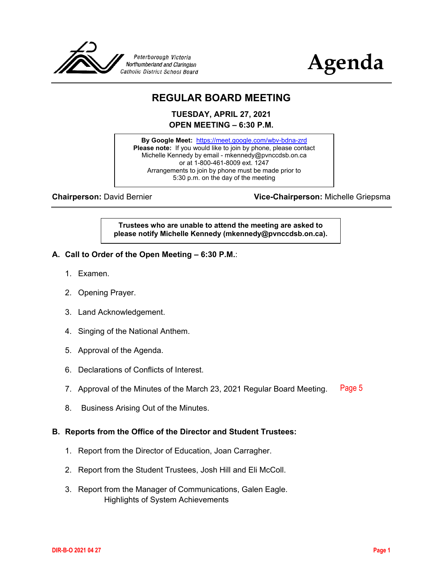



# **REGULAR BOARD MEETING**

**TUESDAY, APRIL 27, 2021 OPEN MEETING – 6:30 P.M.**

**By Google Meet:** <https://meet.google.com/wbv-bdna-zrd> **Please note:** If you would like to join by phone, please contact Michelle Kennedy by email - mkennedy@pvnccdsb.on.ca or at 1-800-461-8009 ext. 1247 Arrangements to join by phone must be made prior to 5:30 p.m. on the day of the meeting

**Chairperson:** David Bernier **Vice-Chairperson:** Michelle Griepsma

**Trustees who are unable to attend the meeting are asked to please notify Michelle Kennedy (mkennedy@pvnccdsb.on.ca).**

- **A. Call to Order of the Open Meeting – 6:30 P.M.**:
	- 1. Examen.
	- 2. Opening Prayer.
	- 3. Land Acknowledgement.
	- 4. Singing of the National Anthem.
	- 5. Approval of the Agenda.
	- 6. Declarations of Conflicts of Interest.
	- 7. Approval of the Minutes of the March 23, 2021 Regular Board Meeting. [Page 5](#page-4-0)
	- 8. Business Arising Out of the Minutes.

#### **B. Reports from the Office of the Director and Student Trustees:**

- 1. Report from the Director of Education, Joan Carragher.
- 2. Report from the Student Trustees, Josh Hill and Eli McColl.
- 3. Report from the Manager of Communications, Galen Eagle. Highlights of System Achievements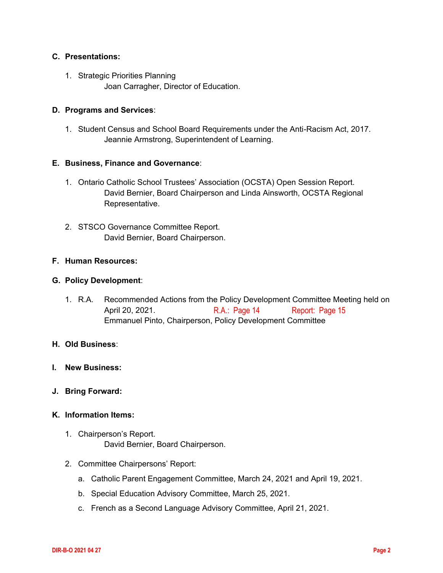#### **C. Presentations:**

1. Strategic Priorities Planning Joan Carragher, Director of Education.

#### **D. Programs and Services**:

1. Student Census and School Board Requirements under the Anti-Racism Act, 2017. Jeannie Armstrong, Superintendent of Learning.

#### **E. Business, Finance and Governance**:

- 1. Ontario Catholic School Trustees' Association (OCSTA) Open Session Report. David Bernier, Board Chairperson and Linda Ainsworth, OCSTA Regional Representative.
- 2. STSCO Governance Committee Report. David Bernier, Board Chairperson.

#### **F. Human Resources:**

#### **G. Policy Development**:

1. R.A. Recommended Actions from the Policy Development Committee Meeting held on April 20, 2021. Emmanuel Pinto, Chairperson, Policy Development Committee [R.A.: Page 14](#page-13-0) [Report: Page 15](#page-14-0)

#### **H. Old Business**:

- **I. New Business:**
- **J. Bring Forward:**

#### **K. Information Items:**

- 1. Chairperson's Report. David Bernier, Board Chairperson.
- 2. Committee Chairpersons' Report:
	- a. Catholic Parent Engagement Committee, March 24, 2021 and April 19, 2021.
	- b. Special Education Advisory Committee, March 25, 2021.
	- c. French as a Second Language Advisory Committee, April 21, 2021.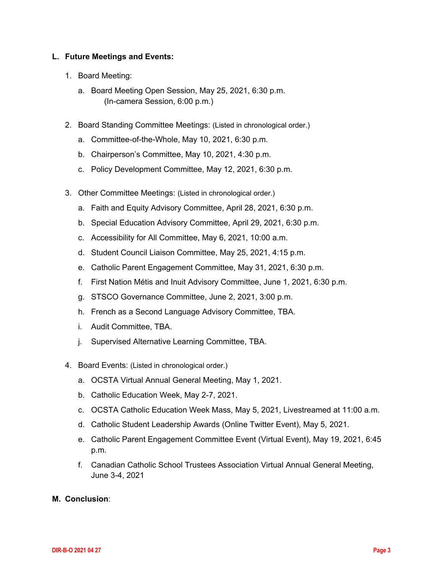#### **L. Future Meetings and Events:**

- 1. Board Meeting:
	- a. Board Meeting Open Session, May 25, 2021, 6:30 p.m. (In-camera Session, 6:00 p.m.)
- 2. Board Standing Committee Meetings: (Listed in chronological order.)
	- a. Committee-of-the-Whole, May 10, 2021, 6:30 p.m.
	- b. Chairperson's Committee, May 10, 2021, 4:30 p.m.
	- c. Policy Development Committee, May 12, 2021, 6:30 p.m.
- 3. Other Committee Meetings: (Listed in chronological order.)
	- a. Faith and Equity Advisory Committee, April 28, 2021, 6:30 p.m.
	- b. Special Education Advisory Committee, April 29, 2021, 6:30 p.m.
	- c. Accessibility for All Committee, May 6, 2021, 10:00 a.m.
	- d. Student Council Liaison Committee, May 25, 2021, 4:15 p.m.
	- e. Catholic Parent Engagement Committee, May 31, 2021, 6:30 p.m.
	- f. First Nation Métis and Inuit Advisory Committee, June 1, 2021, 6:30 p.m.
	- g. STSCO Governance Committee, June 2, 2021, 3:00 p.m.
	- h. French as a Second Language Advisory Committee, TBA.
	- i. Audit Committee, TBA.
	- j. Supervised Alternative Learning Committee, TBA.
- 4. Board Events: (Listed in chronological order.)
	- a. OCSTA Virtual Annual General Meeting, May 1, 2021.
	- b. Catholic Education Week, May 2-7, 2021.
	- c. OCSTA Catholic Education Week Mass, May 5, 2021, Livestreamed at 11:00 a.m.
	- d. Catholic Student Leadership Awards (Online Twitter Event), May 5, 2021.
	- e. Catholic Parent Engagement Committee Event (Virtual Event), May 19, 2021, 6:45 p.m.
	- f. Canadian Catholic School Trustees Association Virtual Annual General Meeting, June 3-4, 2021
- **M. Conclusion**: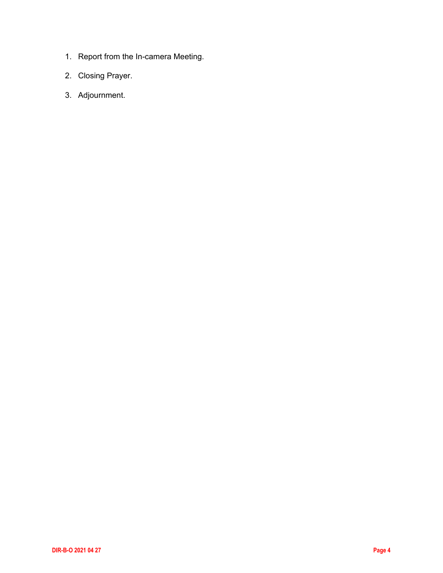- 1. Report from the In-camera Meeting.
- 2. Closing Prayer.
- 3. Adjournment.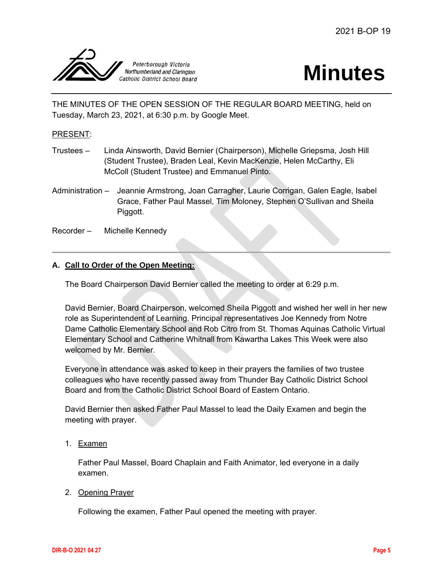<span id="page-4-0"></span>

# **Minutes**

THE MINUTES OF THE OPEN SESSION OF THE REGULAR BOARD MEETING, held on Tuesday, March 23, 2021, at 6:30 p.m. by Google Meet.

#### PRESENT:

- Trustees Linda Ainsworth, David Bernier (Chairperson), Michelle Griepsma, Josh Hill (Student Trustee), Braden Leal, Kevin MacKenzie, Helen McCarthy, Eli McColl (Student Trustee) and Emmanuel Pinto.
- Administration Jeannie Armstrong, Joan Carragher, Laurie Corrigan, Galen Eagle, Isabel Grace, Father Paul Massel, Tim Moloney, Stephen O'Sullivan and Sheila Piggott.
- Recorder Michelle Kennedy

#### **A. Call to Order of the Open Meeting:**

The Board Chairperson David Bernier called the meeting to order at 6:29 p.m.

David Bernier, Board Chairperson, welcomed Sheila Piggott and wished her well in her new role as Superintendent of Learning. Principal representatives Joe Kennedy from Notre Dame Catholic Elementary School and Rob Citro from St. Thomas Aquinas Catholic Virtual Elementary School and Catherine Whitnall from Kawartha Lakes This Week were also welcomed by Mr. Bernier.

Everyone in attendance was asked to keep in their prayers the families of two trustee colleagues who have recently passed away from Thunder Bay Catholic District School Board and from the Catholic District School Board of Eastern Ontario.

David Bernier then asked Father Paul Massel to lead the Daily Examen and begin the meeting with prayer.

1. Examen

Father Paul Massel, Board Chaplain and Faith Animator, led everyone in a daily examen.

#### 2. Opening Prayer

Following the examen, Father Paul opened the meeting with prayer.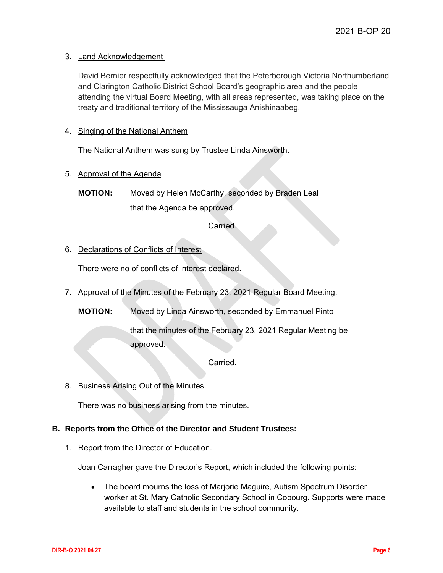#### 3. Land Acknowledgement

David Bernier respectfully acknowledged that the Peterborough Victoria Northumberland and Clarington Catholic District School Board's geographic area and the people attending the virtual Board Meeting, with all areas represented, was taking place on the treaty and traditional territory of the Mississauga Anishinaabeg.

#### 4. Singing of the National Anthem

The National Anthem was sung by Trustee Linda Ainsworth.

#### 5. Approval of the Agenda

**MOTION:** Moved by Helen McCarthy, seconded by Braden Leal that the Agenda be approved.

#### Carried.

#### 6. Declarations of Conflicts of Interest

There were no of conflicts of interest declared.

7. Approval of the Minutes of the February 23, 2021 Regular Board Meeting.

**MOTION:** Moved by Linda Ainsworth, seconded by Emmanuel Pinto

that the minutes of the February 23, 2021 Regular Meeting be approved.

Carried.

8. Business Arising Out of the Minutes.

There was no business arising from the minutes.

#### **B. Reports from the Office of the Director and Student Trustees:**

#### 1. Report from the Director of Education.

Joan Carragher gave the Director's Report, which included the following points:

 The board mourns the loss of Marjorie Maguire, Autism Spectrum Disorder worker at St. Mary Catholic Secondary School in Cobourg. Supports were made available to staff and students in the school community.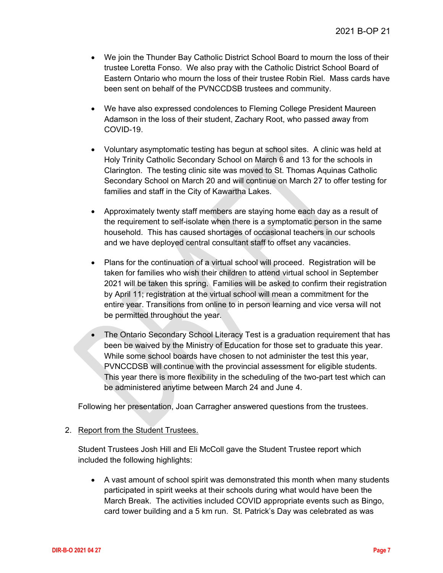- We join the Thunder Bay Catholic District School Board to mourn the loss of their trustee Loretta Fonso. We also pray with the Catholic District School Board of Eastern Ontario who mourn the loss of their trustee Robin Riel. Mass cards have been sent on behalf of the PVNCCDSB trustees and community.
- We have also expressed condolences to Fleming College President Maureen Adamson in the loss of their student, Zachary Root, who passed away from COVID-19.
- Voluntary asymptomatic testing has begun at school sites. A clinic was held at Holy Trinity Catholic Secondary School on March 6 and 13 for the schools in Clarington. The testing clinic site was moved to St. Thomas Aquinas Catholic Secondary School on March 20 and will continue on March 27 to offer testing for families and staff in the City of Kawartha Lakes.
- Approximately twenty staff members are staying home each day as a result of the requirement to self-isolate when there is a symptomatic person in the same household. This has caused shortages of occasional teachers in our schools and we have deployed central consultant staff to offset any vacancies.
- Plans for the continuation of a virtual school will proceed. Registration will be taken for families who wish their children to attend virtual school in September 2021 will be taken this spring. Families will be asked to confirm their registration by April 11; registration at the virtual school will mean a commitment for the entire year. Transitions from online to in person learning and vice versa will not be permitted throughout the year.
- The Ontario Secondary School Literacy Test is a graduation requirement that has been be waived by the Ministry of Education for those set to graduate this year. While some school boards have chosen to not administer the test this year, PVNCCDSB will continue with the provincial assessment for eligible students. This year there is more flexibility in the scheduling of the two-part test which can be administered anytime between March 24 and June 4.

Following her presentation, Joan Carragher answered questions from the trustees.

#### 2. Report from the Student Trustees.

Student Trustees Josh Hill and Eli McColl gave the Student Trustee report which included the following highlights:

 A vast amount of school spirit was demonstrated this month when many students participated in spirit weeks at their schools during what would have been the March Break. The activities included COVID appropriate events such as Bingo, card tower building and a 5 km run. St. Patrick's Day was celebrated as was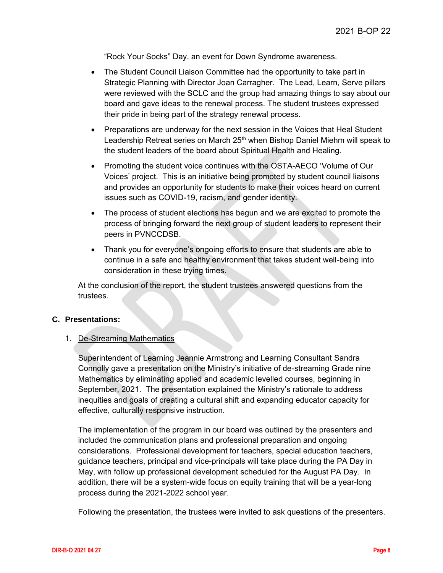"Rock Your Socks" Day, an event for Down Syndrome awareness.

- The Student Council Liaison Committee had the opportunity to take part in Strategic Planning with Director Joan Carragher. The Lead, Learn, Serve pillars were reviewed with the SCLC and the group had amazing things to say about our board and gave ideas to the renewal process. The student trustees expressed their pride in being part of the strategy renewal process.
- Preparations are underway for the next session in the Voices that Heal Student Leadership Retreat series on March 25<sup>th</sup> when Bishop Daniel Miehm will speak to the student leaders of the board about Spiritual Health and Healing.
- Promoting the student voice continues with the OSTA-AECO 'Volume of Our Voices' project. This is an initiative being promoted by student council liaisons and provides an opportunity for students to make their voices heard on current issues such as COVID-19, racism, and gender identity.
- The process of student elections has begun and we are excited to promote the process of bringing forward the next group of student leaders to represent their peers in PVNCCDSB.
- Thank you for everyone's ongoing efforts to ensure that students are able to continue in a safe and healthy environment that takes student well-being into consideration in these trying times.

At the conclusion of the report, the student trustees answered questions from the trustees.

#### **C. Presentations:**

#### 1. De-Streaming Mathematics

Superintendent of Learning Jeannie Armstrong and Learning Consultant Sandra Connolly gave a presentation on the Ministry's initiative of de-streaming Grade nine Mathematics by eliminating applied and academic levelled courses, beginning in September, 2021. The presentation explained the Ministry's rationale to address inequities and goals of creating a cultural shift and expanding educator capacity for effective, culturally responsive instruction.

The implementation of the program in our board was outlined by the presenters and included the communication plans and professional preparation and ongoing considerations. Professional development for teachers, special education teachers, guidance teachers, principal and vice-principals will take place during the PA Day in May, with follow up professional development scheduled for the August PA Day. In addition, there will be a system-wide focus on equity training that will be a year-long process during the 2021-2022 school year.

Following the presentation, the trustees were invited to ask questions of the presenters.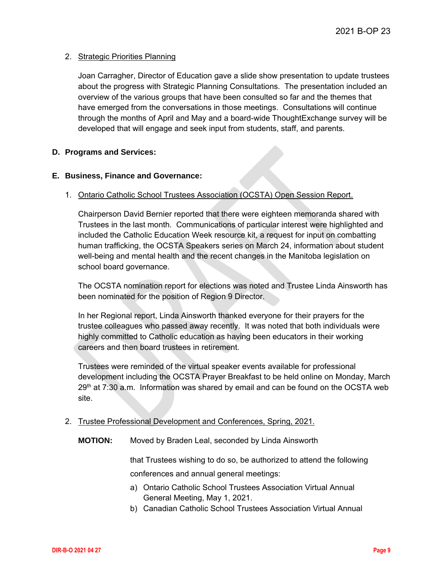#### 2. Strategic Priorities Planning

Joan Carragher, Director of Education gave a slide show presentation to update trustees about the progress with Strategic Planning Consultations. The presentation included an overview of the various groups that have been consulted so far and the themes that have emerged from the conversations in those meetings. Consultations will continue through the months of April and May and a board-wide ThoughtExchange survey will be developed that will engage and seek input from students, staff, and parents.

#### **D. Programs and Services:**

#### **E. Business, Finance and Governance:**

#### 1. Ontario Catholic School Trustees Association (OCSTA) Open Session Report.

Chairperson David Bernier reported that there were eighteen memoranda shared with Trustees in the last month. Communications of particular interest were highlighted and included the Catholic Education Week resource kit, a request for input on combatting human trafficking, the OCSTA Speakers series on March 24, information about student well-being and mental health and the recent changes in the Manitoba legislation on school board governance.

The OCSTA nomination report for elections was noted and Trustee Linda Ainsworth has been nominated for the position of Region 9 Director.

In her Regional report, Linda Ainsworth thanked everyone for their prayers for the trustee colleagues who passed away recently. It was noted that both individuals were highly committed to Catholic education as having been educators in their working careers and then board trustees in retirement.

Trustees were reminded of the virtual speaker events available for professional development including the OCSTA Prayer Breakfast to be held online on Monday, March  $29<sup>th</sup>$  at  $7:30$  a.m. Information was shared by email and can be found on the OCSTA web site.

- 2. Trustee Professional Development and Conferences, Spring, 2021.
	- **MOTION:** Moved by Braden Leal, seconded by Linda Ainsworth

that Trustees wishing to do so, be authorized to attend the following conferences and annual general meetings:

- a) Ontario Catholic School Trustees Association Virtual Annual General Meeting, May 1, 2021.
- b) Canadian Catholic School Trustees Association Virtual Annual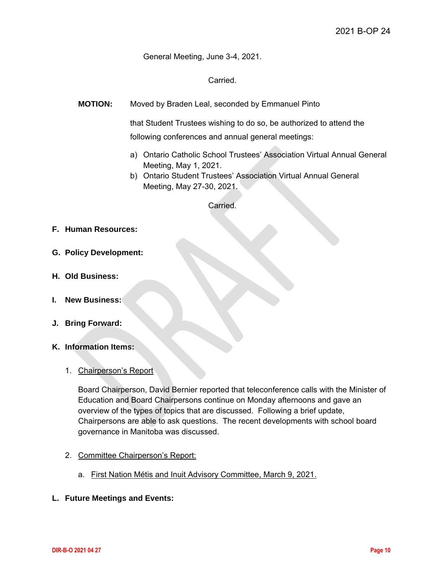General Meeting, June 3-4, 2021.

Carried.

**MOTION:** Moved by Braden Leal, seconded by Emmanuel Pinto

that Student Trustees wishing to do so, be authorized to attend the following conferences and annual general meetings:

- a) Ontario Catholic School Trustees' Association Virtual Annual General Meeting, May 1, 2021.
- b) Ontario Student Trustees' Association Virtual Annual General Meeting, May 27-30, 2021.

Carried.

- **F. Human Resources:**
- **G. Policy Development:**
- **H. Old Business:**
- **I. New Business:**
- **J. Bring Forward:**
- **K. Information Items:**
	- 1. Chairperson's Report

Board Chairperson, David Bernier reported that teleconference calls with the Minister of Education and Board Chairpersons continue on Monday afternoons and gave an overview of the types of topics that are discussed. Following a brief update, Chairpersons are able to ask questions. The recent developments with school board governance in Manitoba was discussed.

- 2. Committee Chairperson's Report:
	- a. First Nation Métis and Inuit Advisory Committee, March 9, 2021.
- **L. Future Meetings and Events:**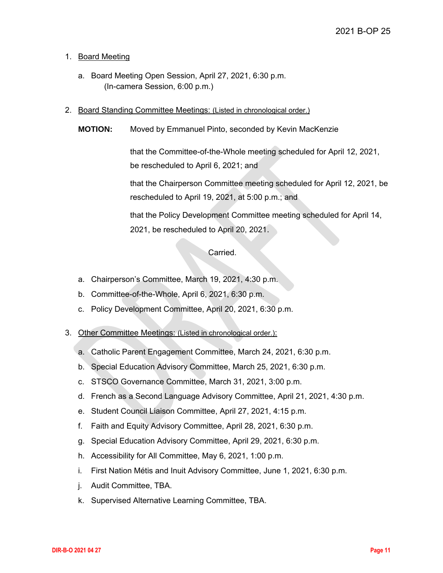#### 1. Board Meeting

- a. Board Meeting Open Session, April 27, 2021, 6:30 p.m. (In-camera Session, 6:00 p.m.)
- 2. Board Standing Committee Meetings: (Listed in chronological order.)
	- **MOTION:** Moved by Emmanuel Pinto, seconded by Kevin MacKenzie

that the Committee-of-the-Whole meeting scheduled for April 12, 2021, be rescheduled to April 6, 2021; and

that the Chairperson Committee meeting scheduled for April 12, 2021, be rescheduled to April 19, 2021, at 5:00 p.m.; and

that the Policy Development Committee meeting scheduled for April 14, 2021, be rescheduled to April 20, 2021.

#### Carried.

- a. Chairperson's Committee, March 19, 2021, 4:30 p.m.
- b. Committee-of-the-Whole, April 6, 2021, 6:30 p.m.
- c. Policy Development Committee, April 20, 2021, 6:30 p.m.
- 3. Other Committee Meetings: (Listed in chronological order.):
	- a. Catholic Parent Engagement Committee, March 24, 2021, 6:30 p.m.
	- b. Special Education Advisory Committee, March 25, 2021, 6:30 p.m.
	- c. STSCO Governance Committee, March 31, 2021, 3:00 p.m.
	- d. French as a Second Language Advisory Committee, April 21, 2021, 4:30 p.m.
	- e. Student Council Liaison Committee, April 27, 2021, 4:15 p.m.
	- f. Faith and Equity Advisory Committee, April 28, 2021, 6:30 p.m.
	- g. Special Education Advisory Committee, April 29, 2021, 6:30 p.m.
	- h. Accessibility for All Committee, May 6, 2021, 1:00 p.m.
	- i. First Nation Métis and Inuit Advisory Committee, June 1, 2021, 6:30 p.m.
	- j. Audit Committee, TBA.
	- k. Supervised Alternative Learning Committee, TBA.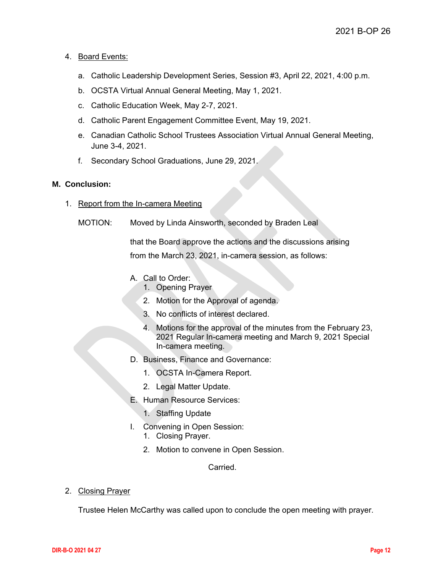#### 4. Board Events:

- a. Catholic Leadership Development Series, Session #3, April 22, 2021, 4:00 p.m.
- b. OCSTA Virtual Annual General Meeting, May 1, 2021.
- c. Catholic Education Week, May 2-7, 2021.
- d. Catholic Parent Engagement Committee Event, May 19, 2021.
- e. Canadian Catholic School Trustees Association Virtual Annual General Meeting, June 3-4, 2021.
- f. Secondary School Graduations, June 29, 2021.

#### **M. Conclusion:**

- 1. Report from the In-camera Meeting
	- MOTION: Moved by Linda Ainsworth, seconded by Braden Leal

that the Board approve the actions and the discussions arising from the March 23, 2021, in-camera session, as follows:

- A. Call to Order:
	- 1. Opening Prayer
	- 2. Motion for the Approval of agenda.
	- 3. No conflicts of interest declared.
	- 4. Motions for the approval of the minutes from the February 23, 2021 Regular In-camera meeting and March 9, 2021 Special In-camera meeting.
- D. Business, Finance and Governance:
	- 1. OCSTA In-Camera Report.
	- 2. Legal Matter Update.
- E. Human Resource Services:
	- 1. Staffing Update
- I. Convening in Open Session:
	- 1. Closing Prayer.
	- 2. Motion to convene in Open Session.

Carried.

2. Closing Prayer

Trustee Helen McCarthy was called upon to conclude the open meeting with prayer.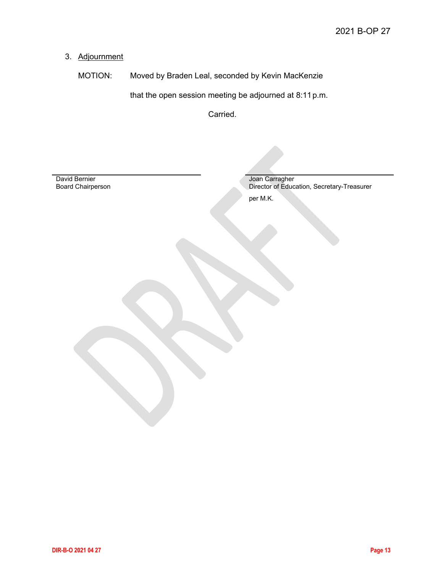## 3. Adjournment

MOTION: Moved by Braden Leal, seconded by Kevin MacKenzie

that the open session meeting be adjourned at 8:11p.m.

Carried.

David Bernier Board Chairperson Joan Carragher Director of Education, Secretary-Treasurer per M.K.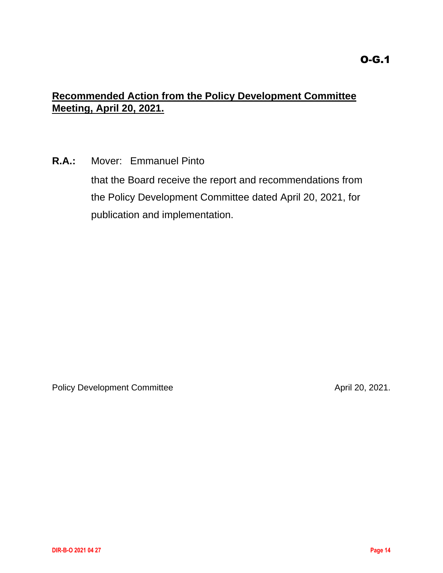# <span id="page-13-0"></span>**Recommended Action from the Policy Development Committee Meeting, April 20, 2021.**

**R.A.:** Mover: Emmanuel Pinto

that the Board receive the report and recommendations from the Policy Development Committee dated April 20, 2021, for publication and implementation.

Policy Development Committee April 20, 2021.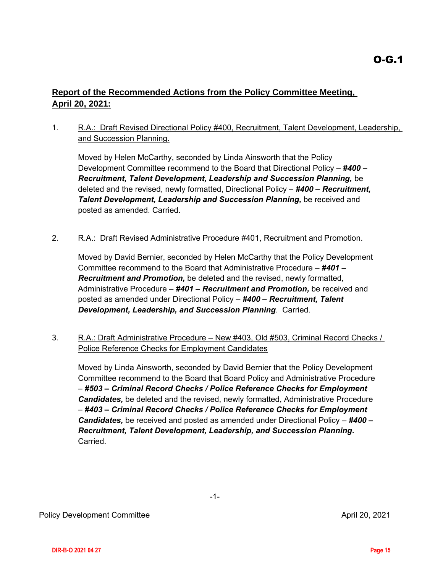## <span id="page-14-0"></span>**Report of the Recommended Actions from the Policy Committee Meeting, April 20, 2021:**

### 1. R.A.: Draft Revised Directional Policy #400, Recruitment, Talent Development, Leadership, and Succession Planning.

Moved by Helen McCarthy, seconded by Linda Ainsworth that the Policy Development Committee recommend to the Board that Directional Policy – *#400 – Recruitment, Talent Development, Leadership and Succession Planning,* be deleted and the revised, newly formatted, Directional Policy – *#400 – Recruitment, Talent Development, Leadership and Succession Planning,* be received and posted as amended. Carried.

2. R.A.: Draft Revised Administrative Procedure #401, Recruitment and Promotion.

Moved by David Bernier, seconded by Helen McCarthy that the Policy Development Committee recommend to the Board that Administrative Procedure – *#401 – Recruitment and Promotion,* be deleted and the revised, newly formatted, Administrative Procedure – *#401 – Recruitment and Promotion,* be received and posted as amended under Directional Policy – *#400 – Recruitment, Talent Development, Leadership, and Succession Planning*. Carried.

3. R.A.: Draft Administrative Procedure – New #403, Old #503, Criminal Record Checks / Police Reference Checks for Employment Candidates

Moved by Linda Ainsworth, seconded by David Bernier that the Policy Development Committee recommend to the Board that Board Policy and Administrative Procedure – *#503 – Criminal Record Checks / Police Reference Checks for Employment Candidates,* be deleted and the revised, newly formatted, Administrative Procedure – *#403 – Criminal Record Checks / Police Reference Checks for Employment Candidates,* be received and posted as amended under Directional Policy – *#400 – Recruitment, Talent Development, Leadership, and Succession Planning.* Carried.

-1-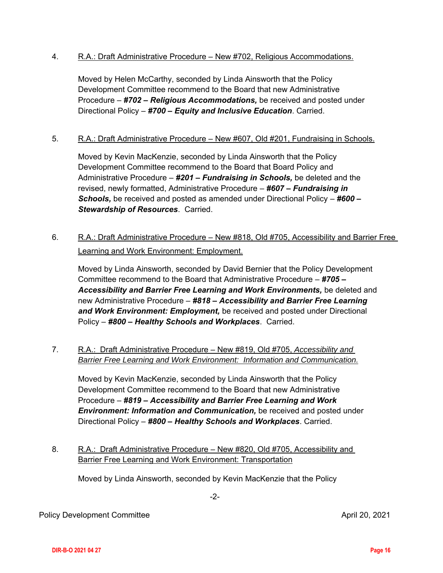#### 4. R.A.: Draft Administrative Procedure – New #702, Religious Accommodations.

Moved by Helen McCarthy, seconded by Linda Ainsworth that the Policy Development Committee recommend to the Board that new Administrative Procedure – *#702 – Religious Accommodations,* be received and posted under Directional Policy – *#700 – Equity and Inclusive Education*. Carried.

#### 5. R.A.: Draft Administrative Procedure – New #607, Old #201, Fundraising in Schools.

Moved by Kevin MacKenzie, seconded by Linda Ainsworth that the Policy Development Committee recommend to the Board that Board Policy and Administrative Procedure – *#201 – Fundraising in Schools,* be deleted and the revised, newly formatted, Administrative Procedure – *#607 – Fundraising in Schools,* be received and posted as amended under Directional Policy – *#600 – Stewardship of Resources*. Carried.

6. R.A.: Draft Administrative Procedure – New #818, Old #705, Accessibility and Barrier Free Learning and Work Environment: Employment.

Moved by Linda Ainsworth, seconded by David Bernier that the Policy Development Committee recommend to the Board that Administrative Procedure – *#705 – Accessibility and Barrier Free Learning and Work Environments,* be deleted and new Administrative Procedure – *#818 – Accessibility and Barrier Free Learning and Work Environment: Employment,* be received and posted under Directional Policy – *#800 – Healthy Schools and Workplaces*. Carried.

7. R.A.: Draft Administrative Procedure – New #819, Old #705, *Accessibility and Barrier Free Learning and Work Environment: Information and Communication.*

Moved by Kevin MacKenzie, seconded by Linda Ainsworth that the Policy Development Committee recommend to the Board that new Administrative Procedure – *#819 – Accessibility and Barrier Free Learning and Work Environment: Information and Communication,* be received and posted under Directional Policy – *#800 – Healthy Schools and Workplaces*. Carried.

8. R.A.: Draft Administrative Procedure – New #820, Old #705, Accessibility and Barrier Free Learning and Work Environment: Transportation

Moved by Linda Ainsworth, seconded by Kevin MacKenzie that the Policy

-2-

Policy Development Committee April 20, 2021